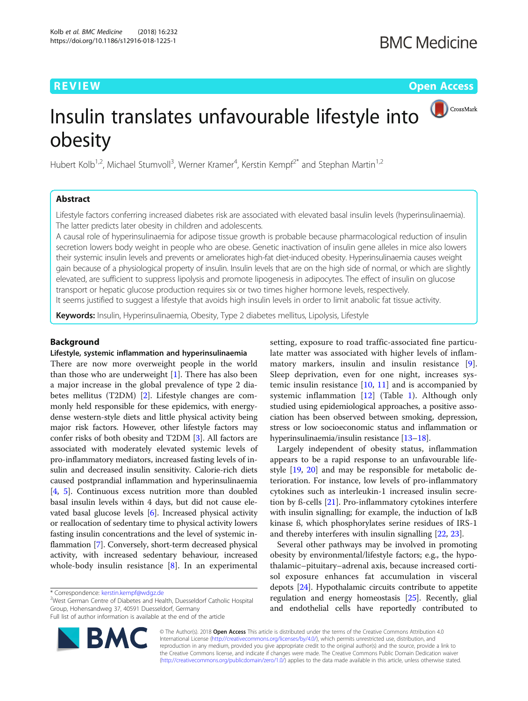## **REVIEW CONTROL** CONTROL CONTROL CONTROL CONTROL CONTROL CONTROL CONTROL CONTROL CONTROL CONTROL CONTROL CONTROL CONTROL CONTROL CONTROL CONTROL CONTROL CONTROL CONTROL CONTROL CONTROL CONTROL CONTROL CONTROL CONTROL CONTR

CrossMark

# Insulin translates unfavourable lifestyle into obesity

Hubert Kolb<sup>1,2</sup>, Michael Stumvoll<sup>3</sup>, Werner Kramer<sup>4</sup>, Kerstin Kempf<sup>2\*</sup> and Stephan Martin<sup>1,2</sup>

## Abstract

Lifestyle factors conferring increased diabetes risk are associated with elevated basal insulin levels (hyperinsulinaemia). The latter predicts later obesity in children and adolescents.

A causal role of hyperinsulinaemia for adipose tissue growth is probable because pharmacological reduction of insulin secretion lowers body weight in people who are obese. Genetic inactivation of insulin gene alleles in mice also lowers their systemic insulin levels and prevents or ameliorates high-fat diet-induced obesity. Hyperinsulinaemia causes weight gain because of a physiological property of insulin. Insulin levels that are on the high side of normal, or which are slightly elevated, are sufficient to suppress lipolysis and promote lipogenesis in adipocytes. The effect of insulin on glucose transport or hepatic glucose production requires six or two times higher hormone levels, respectively. It seems justified to suggest a lifestyle that avoids high insulin levels in order to limit anabolic fat tissue activity.

Keywords: Insulin, Hyperinsulinaemia, Obesity, Type 2 diabetes mellitus, Lipolysis, Lifestyle

## Background

## Lifestyle, systemic inflammation and hyperinsulinaemia

There are now more overweight people in the world than those who are underweight  $[1]$  $[1]$ . There has also been a major increase in the global prevalence of type 2 diabetes mellitus (T2DM) [[2](#page-6-0)]. Lifestyle changes are commonly held responsible for these epidemics, with energydense western-style diets and little physical activity being major risk factors. However, other lifestyle factors may confer risks of both obesity and T2DM [[3\]](#page-6-0). All factors are associated with moderately elevated systemic levels of pro-inflammatory mediators, increased fasting levels of insulin and decreased insulin sensitivity. Calorie-rich diets caused postprandial inflammation and hyperinsulinaemia [[4,](#page-6-0) [5](#page-6-0)]. Continuous excess nutrition more than doubled basal insulin levels within 4 days, but did not cause elevated basal glucose levels [\[6](#page-6-0)]. Increased physical activity or reallocation of sedentary time to physical activity lowers fasting insulin concentrations and the level of systemic inflammation [[7](#page-6-0)]. Conversely, short-term decreased physical activity, with increased sedentary behaviour, increased whole-body insulin resistance [\[8](#page-6-0)]. In an experimental

<sup>2</sup>West German Centre of Diabetes and Health, Duesseldorf Catholic Hospital Group, Hohensandweg 37, 40591 Duesseldorf, Germany Full list of author information is available at the end of the article

setting, exposure to road traffic-associated fine particulate matter was associated with higher levels of inflammatory markers, insulin and insulin resistance [\[9](#page-6-0)]. Sleep deprivation, even for one night, increases systemic insulin resistance [\[10](#page-6-0), [11\]](#page-6-0) and is accompanied by systemic inflammation [\[12](#page-6-0)] (Table [1](#page-1-0)). Although only studied using epidemiological approaches, a positive association has been observed between smoking, depression, stress or low socioeconomic status and inflammation or hyperinsulinaemia/insulin resistance [[13](#page-6-0)–[18\]](#page-7-0).

Largely independent of obesity status, inflammation appears to be a rapid response to an unfavourable lifestyle [\[19,](#page-7-0) [20\]](#page-7-0) and may be responsible for metabolic deterioration. For instance, low levels of pro-inflammatory cytokines such as interleukin-1 increased insulin secretion by ß-cells [\[21\]](#page-7-0). Pro-inflammatory cytokines interfere with insulin signalling; for example, the induction of IĸB kinase ß, which phosphorylates serine residues of IRS-1 and thereby interferes with insulin signalling [[22](#page-7-0), [23](#page-7-0)].

Several other pathways may be involved in promoting obesity by environmental/lifestyle factors; e.g., the hypothalamic–pituitary–adrenal axis, because increased cortisol exposure enhances fat accumulation in visceral depots [\[24\]](#page-7-0). Hypothalamic circuits contribute to appetite regulation and energy homeostasis [\[25\]](#page-7-0). Recently, glial and endothelial cells have reportedly contributed to

© The Author(s). 2018 Open Access This article is distributed under the terms of the Creative Commons Attribution 4.0 International License [\(http://creativecommons.org/licenses/by/4.0/](http://creativecommons.org/licenses/by/4.0/)), which permits unrestricted use, distribution, and reproduction in any medium, provided you give appropriate credit to the original author(s) and the source, provide a link to the Creative Commons license, and indicate if changes were made. The Creative Commons Public Domain Dedication waiver [\(http://creativecommons.org/publicdomain/zero/1.0/](http://creativecommons.org/publicdomain/zero/1.0/)) applies to the data made available in this article, unless otherwise stated.

<sup>\*</sup> Correspondence: [kerstin.kempf@wdgz.de](mailto:kerstin.kempf@wdgz.de) <sup>2</sup>

**BM**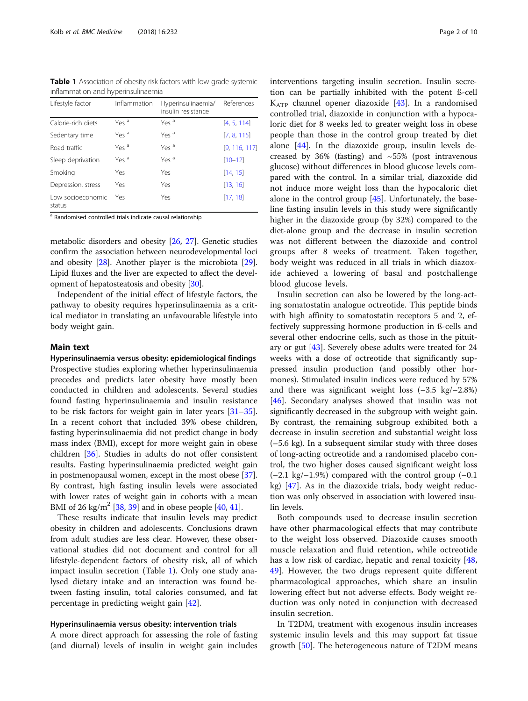<span id="page-1-0"></span>Table 1 Association of obesity risk factors with low-grade systemic inflammation and hyperinsulinaemia

| Lifestyle factor            | Inflammation     | Hyperinsulinaemia/<br>insulin resistance | References    |
|-----------------------------|------------------|------------------------------------------|---------------|
| Calorie-rich diets          | Yes <sup>a</sup> | Yes <sup>a</sup>                         | [4, 5, 114]   |
| Sedentary time              | Yes <sup>a</sup> | Yes <sup>a</sup>                         | [7, 8, 115]   |
| Road traffic                | Yes <sup>a</sup> | Yes <sup>a</sup>                         | [9, 116, 117] |
| Sleep deprivation           | Yes <sup>a</sup> | Yes <sup>a</sup>                         | $[10 - 12]$   |
| Smoking                     | Yes              | Yes                                      | [14, 15]      |
| Depression, stress          | Yes              | Yes                                      | [13, 16]      |
| Low socioeconomic<br>status | Yes              | Yes                                      | [17, 18]      |

a Randomised controlled trials indicate causal relationship

metabolic disorders and obesity [[26](#page-7-0), [27\]](#page-7-0). Genetic studies confirm the association between neurodevelopmental loci and obesity [\[28\]](#page-7-0). Another player is the microbiota [[29](#page-7-0)]. Lipid fluxes and the liver are expected to affect the development of hepatosteatosis and obesity [\[30\]](#page-7-0).

Independent of the initial effect of lifestyle factors, the pathway to obesity requires hyperinsulinaemia as a critical mediator in translating an unfavourable lifestyle into body weight gain.

## Main text

Hyperinsulinaemia versus obesity: epidemiological findings Prospective studies exploring whether hyperinsulinaemia precedes and predicts later obesity have mostly been conducted in children and adolescents. Several studies found fasting hyperinsulinaemia and insulin resistance to be risk factors for weight gain in later years [[31](#page-7-0)–[35](#page-7-0)]. In a recent cohort that included 39% obese children, fasting hyperinsulinaemia did not predict change in body mass index (BMI), except for more weight gain in obese children [[36\]](#page-7-0). Studies in adults do not offer consistent results. Fasting hyperinsulinaemia predicted weight gain in postmenopausal women, except in the most obese [[37](#page-7-0)]. By contrast, high fasting insulin levels were associated with lower rates of weight gain in cohorts with a mean BMI of 26 kg/m<sup>2</sup> [\[38,](#page-7-0) [39](#page-7-0)] and in obese people [\[40,](#page-7-0) [41\]](#page-7-0).

These results indicate that insulin levels may predict obesity in children and adolescents. Conclusions drawn from adult studies are less clear. However, these observational studies did not document and control for all lifestyle-dependent factors of obesity risk, all of which impact insulin secretion (Table 1). Only one study analysed dietary intake and an interaction was found between fasting insulin, total calories consumed, and fat percentage in predicting weight gain [\[42\]](#page-7-0).

## Hyperinsulinaemia versus obesity: intervention trials

A more direct approach for assessing the role of fasting (and diurnal) levels of insulin in weight gain includes

interventions targeting insulin secretion. Insulin secretion can be partially inhibited with the potent ß-cell  $K_{ATP}$  channel opener diazoxide [\[43](#page-7-0)]. In a randomised controlled trial, diazoxide in conjunction with a hypocaloric diet for 8 weeks led to greater weight loss in obese people than those in the control group treated by diet alone [\[44](#page-7-0)]. In the diazoxide group, insulin levels decreased by 36% (fasting) and  $\sim$  55% (post intravenous glucose) without differences in blood glucose levels compared with the control. In a similar trial, diazoxide did not induce more weight loss than the hypocaloric diet alone in the control group [\[45](#page-7-0)]. Unfortunately, the baseline fasting insulin levels in this study were significantly higher in the diazoxide group (by 32%) compared to the diet-alone group and the decrease in insulin secretion was not different between the diazoxide and control groups after 8 weeks of treatment. Taken together, body weight was reduced in all trials in which diazoxide achieved a lowering of basal and postchallenge blood glucose levels.

Insulin secretion can also be lowered by the long-acting somatostatin analogue octreotide. This peptide binds with high affinity to somatostatin receptors 5 and 2, effectively suppressing hormone production in ß-cells and several other endocrine cells, such as those in the pituitary or gut [[43](#page-7-0)]. Severely obese adults were treated for 24 weeks with a dose of octreotide that significantly suppressed insulin production (and possibly other hormones). Stimulated insulin indices were reduced by 57% and there was significant weight loss  $(-3.5 \text{ kg}/-2.8\%)$ [[46\]](#page-7-0). Secondary analyses showed that insulin was not significantly decreased in the subgroup with weight gain. By contrast, the remaining subgroup exhibited both a decrease in insulin secretion and substantial weight loss (–5.6 kg). In a subsequent similar study with three doses of long-acting octreotide and a randomised placebo control, the two higher doses caused significant weight loss  $(-2.1 \text{ kg}/-1.9\%)$  compared with the control group  $(-0.1 \text{ kg})$ kg) [[47\]](#page-7-0). As in the diazoxide trials, body weight reduction was only observed in association with lowered insulin levels.

Both compounds used to decrease insulin secretion have other pharmacological effects that may contribute to the weight loss observed. Diazoxide causes smooth muscle relaxation and fluid retention, while octreotide has a low risk of cardiac, hepatic and renal toxicity [\[48](#page-7-0), [49\]](#page-7-0). However, the two drugs represent quite different pharmacological approaches, which share an insulin lowering effect but not adverse effects. Body weight reduction was only noted in conjunction with decreased insulin secretion.

In T2DM, treatment with exogenous insulin increases systemic insulin levels and this may support fat tissue growth [\[50\]](#page-7-0). The heterogeneous nature of T2DM means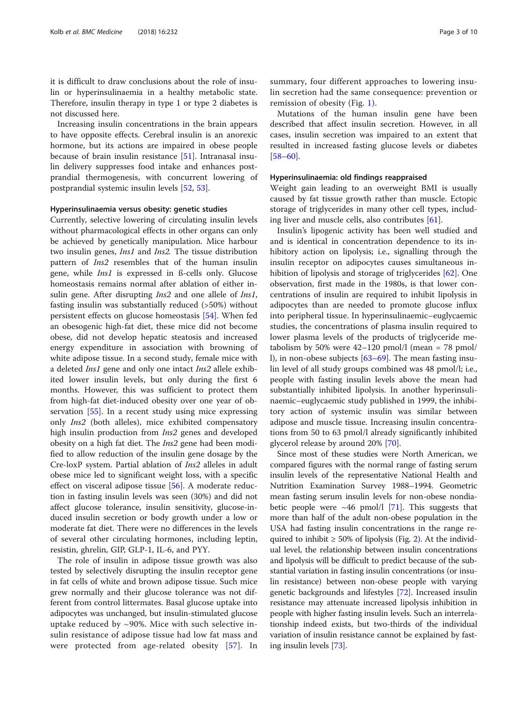it is difficult to draw conclusions about the role of insulin or hyperinsulinaemia in a healthy metabolic state. Therefore, insulin therapy in type 1 or type 2 diabetes is not discussed here.

Increasing insulin concentrations in the brain appears to have opposite effects. Cerebral insulin is an anorexic hormone, but its actions are impaired in obese people because of brain insulin resistance [[51\]](#page-7-0). Intranasal insulin delivery suppresses food intake and enhances postprandial thermogenesis, with concurrent lowering of postprandial systemic insulin levels [[52,](#page-7-0) [53\]](#page-7-0).

### Hyperinsulinaemia versus obesity: genetic studies

Currently, selective lowering of circulating insulin levels without pharmacological effects in other organs can only be achieved by genetically manipulation. Mice harbour two insulin genes, Ins1 and Ins2. The tissue distribution pattern of Ins2 resembles that of the human insulin gene, while Ins1 is expressed in ß-cells only. Glucose homeostasis remains normal after ablation of either insulin gene. After disrupting *Ins2* and one allele of *Ins1*, fasting insulin was substantially reduced (>50%) without persistent effects on glucose homeostasis [[54](#page-7-0)]. When fed an obesogenic high-fat diet, these mice did not become obese, did not develop hepatic steatosis and increased energy expenditure in association with browning of white adipose tissue. In a second study, female mice with a deleted Ins1 gene and only one intact Ins2 allele exhibited lower insulin levels, but only during the first 6 months. However, this was sufficient to protect them from high-fat diet-induced obesity over one year of observation [\[55](#page-7-0)]. In a recent study using mice expressing only Ins2 (both alleles), mice exhibited compensatory high insulin production from Ins2 genes and developed obesity on a high fat diet. The Ins2 gene had been modified to allow reduction of the insulin gene dosage by the Cre-loxP system. Partial ablation of Ins2 alleles in adult obese mice led to significant weight loss, with a specific effect on visceral adipose tissue [\[56](#page-7-0)]. A moderate reduction in fasting insulin levels was seen (30%) and did not affect glucose tolerance, insulin sensitivity, glucose-induced insulin secretion or body growth under a low or moderate fat diet. There were no differences in the levels of several other circulating hormones, including leptin, resistin, ghrelin, GIP, GLP-1, IL-6, and PYY.

The role of insulin in adipose tissue growth was also tested by selectively disrupting the insulin receptor gene in fat cells of white and brown adipose tissue. Such mice grew normally and their glucose tolerance was not different from control littermates. Basal glucose uptake into adipocytes was unchanged, but insulin-stimulated glucose uptake reduced by  $\sim$ 90%. Mice with such selective insulin resistance of adipose tissue had low fat mass and were protected from age-related obesity [[57](#page-7-0)]. In summary, four different approaches to lowering insulin secretion had the same consequence: prevention or remission of obesity (Fig. [1\)](#page-3-0).

Mutations of the human insulin gene have been described that affect insulin secretion. However, in all cases, insulin secretion was impaired to an extent that resulted in increased fasting glucose levels or diabetes [[58](#page-7-0)–[60](#page-8-0)].

## Hyperinsulinaemia: old findings reappraised

Weight gain leading to an overweight BMI is usually caused by fat tissue growth rather than muscle. Ectopic storage of triglycerides in many other cell types, including liver and muscle cells, also contributes [[61](#page-8-0)].

Insulin's lipogenic activity has been well studied and and is identical in concentration dependence to its inhibitory action on lipolysis; i.e., signalling through the insulin receptor on adipocytes causes simultaneous inhibition of lipolysis and storage of triglycerides [[62\]](#page-8-0). One observation, first made in the 1980s, is that lower concentrations of insulin are required to inhibit lipolysis in adipocytes than are needed to promote glucose influx into peripheral tissue. In hyperinsulinaemic–euglycaemic studies, the concentrations of plasma insulin required to lower plasma levels of the products of triglyceride metabolism by 50% were  $42-120$  pmol/l (mean = 78 pmol/ l), in non-obese subjects [\[63](#page-8-0)–[69\]](#page-8-0). The mean fasting insulin level of all study groups combined was 48 pmol/l; i.e., people with fasting insulin levels above the mean had substantially inhibited lipolysis. In another hyperinsulinaemic–euglycaemic study published in 1999, the inhibitory action of systemic insulin was similar between adipose and muscle tissue. Increasing insulin concentrations from 50 to 63 pmol/l already significantly inhibited glycerol release by around 20% [\[70](#page-8-0)].

Since most of these studies were North American, we compared figures with the normal range of fasting serum insulin levels of the representative National Health and Nutrition Examination Survey 1988–1994. Geometric mean fasting serum insulin levels for non-obese nondiabetic people were  $~16$  pmol/l [\[71\]](#page-8-0). This suggests that more than half of the adult non-obese population in the USA had fasting insulin concentrations in the range required to inhibit  $\geq 50\%$  of lipolysis (Fig. [2](#page-4-0)). At the individual level, the relationship between insulin concentrations and lipolysis will be difficult to predict because of the substantial variation in fasting insulin concentrations (or insulin resistance) between non-obese people with varying genetic backgrounds and lifestyles [[72\]](#page-8-0). Increased insulin resistance may attenuate increased lipolysis inhibition in people with higher fasting insulin levels. Such an interrelationship indeed exists, but two-thirds of the individual variation of insulin resistance cannot be explained by fasting insulin levels [[73\]](#page-8-0).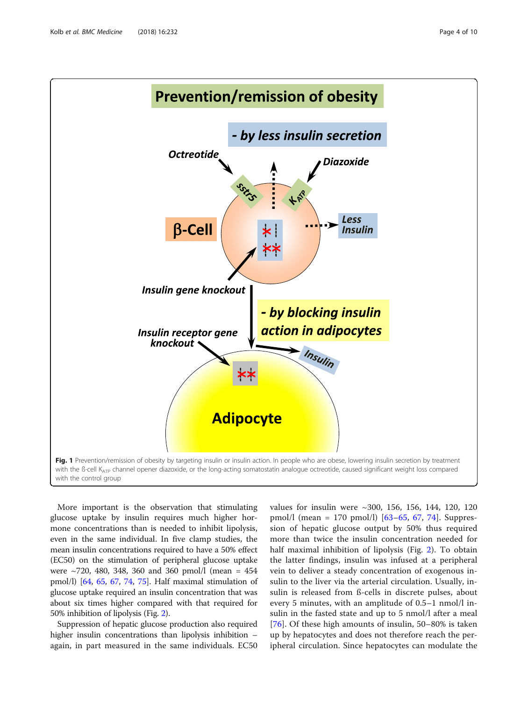<span id="page-3-0"></span>

More important is the observation that stimulating glucose uptake by insulin requires much higher hormone concentrations than is needed to inhibit lipolysis, even in the same individual. In five clamp studies, the mean insulin concentrations required to have a 50% effect (EC50) on the stimulation of peripheral glucose uptake were  $\sim$ 720, 480, 348, 360 and 360 pmol/l (mean = 454 pmol/l) [\[64](#page-8-0), [65,](#page-8-0) [67](#page-8-0), [74,](#page-8-0) [75](#page-8-0)]. Half maximal stimulation of glucose uptake required an insulin concentration that was about six times higher compared with that required for 50% inhibition of lipolysis (Fig. [2\)](#page-4-0).

Suppression of hepatic glucose production also required higher insulin concentrations than lipolysis inhibition – again, in part measured in the same individuals. EC50 values for insulin were ~300, 156, 156, 144, 120, 120 pmol/l (mean = 170 pmol/l) [[63](#page-8-0)–[65,](#page-8-0) [67,](#page-8-0) [74](#page-8-0)]. Suppression of hepatic glucose output by 50% thus required more than twice the insulin concentration needed for half maximal inhibition of lipolysis (Fig. [2\)](#page-4-0). To obtain the latter findings, insulin was infused at a peripheral vein to deliver a steady concentration of exogenous insulin to the liver via the arterial circulation. Usually, insulin is released from ß-cells in discrete pulses, about every 5 minutes, with an amplitude of 0.5–1 nmol/l insulin in the fasted state and up to 5 nmol/l after a meal [[76\]](#page-8-0). Of these high amounts of insulin, 50–80% is taken up by hepatocytes and does not therefore reach the peripheral circulation. Since hepatocytes can modulate the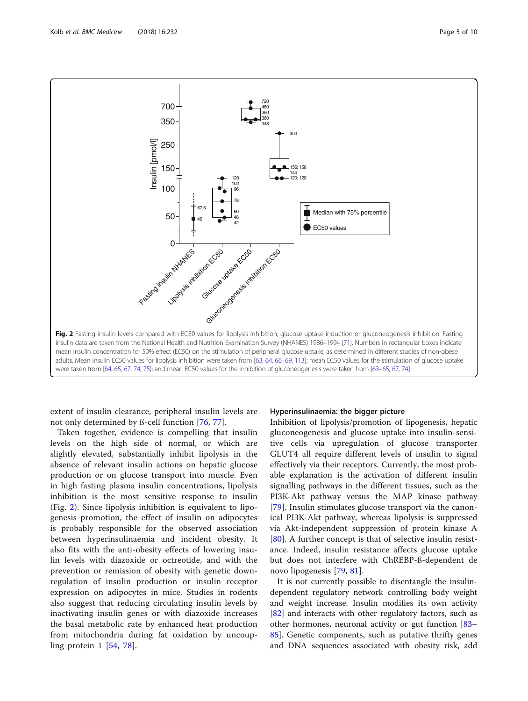<span id="page-4-0"></span>

extent of insulin clearance, peripheral insulin levels are not only determined by ß-cell function [[76](#page-8-0), [77](#page-8-0)].

Taken together, evidence is compelling that insulin levels on the high side of normal, or which are slightly elevated, substantially inhibit lipolysis in the absence of relevant insulin actions on hepatic glucose production or on glucose transport into muscle. Even in high fasting plasma insulin concentrations, lipolysis inhibition is the most sensitive response to insulin (Fig. 2). Since lipolysis inhibition is equivalent to lipogenesis promotion, the effect of insulin on adipocytes is probably responsible for the observed association between hyperinsulinaemia and incident obesity. It also fits with the anti-obesity effects of lowering insulin levels with diazoxide or octreotide, and with the prevention or remission of obesity with genetic downregulation of insulin production or insulin receptor expression on adipocytes in mice. Studies in rodents also suggest that reducing circulating insulin levels by inactivating insulin genes or with diazoxide increases the basal metabolic rate by enhanced heat production from mitochondria during fat oxidation by uncoupling protein 1 [[54,](#page-7-0) [78\]](#page-8-0).

## Hyperinsulinaemia: the bigger picture

Inhibition of lipolysis/promotion of lipogenesis, hepatic gluconeogenesis and glucose uptake into insulin-sensitive cells via upregulation of glucose transporter GLUT4 all require different levels of insulin to signal effectively via their receptors. Currently, the most probable explanation is the activation of different insulin signalling pathways in the different tissues, such as the PI3K-Akt pathway versus the MAP kinase pathway [[79\]](#page-8-0). Insulin stimulates glucose transport via the canonical PI3K-Akt pathway, whereas lipolysis is suppressed via Akt-independent suppression of protein kinase A [[80\]](#page-8-0). A further concept is that of selective insulin resistance. Indeed, insulin resistance affects glucose uptake but does not interfere with ChREBP-ß-dependent de novo lipogenesis [[79,](#page-8-0) [81](#page-8-0)].

It is not currently possible to disentangle the insulindependent regulatory network controlling body weight and weight increase. Insulin modifies its own activity [[82\]](#page-8-0) and interacts with other regulatory factors, such as other hormones, neuronal activity or gut function [[83](#page-8-0)– [85\]](#page-8-0). Genetic components, such as putative thrifty genes and DNA sequences associated with obesity risk, add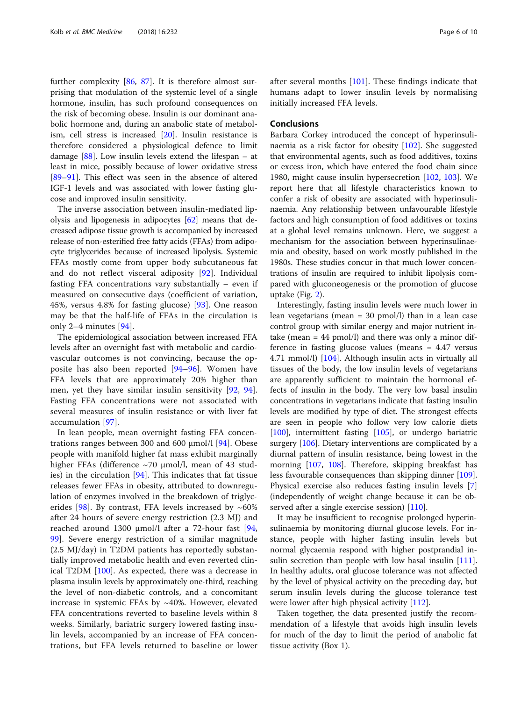further complexity [\[86](#page-8-0), [87\]](#page-8-0). It is therefore almost surprising that modulation of the systemic level of a single hormone, insulin, has such profound consequences on the risk of becoming obese. Insulin is our dominant anabolic hormone and, during an anabolic state of metabolism, cell stress is increased [[20](#page-7-0)]. Insulin resistance is therefore considered a physiological defence to limit damage  $[88]$  $[88]$ . Low insulin levels extend the lifespan – at least in mice, possibly because of lower oxidative stress [[89](#page-8-0)–[91](#page-8-0)]. This effect was seen in the absence of altered IGF-1 levels and was associated with lower fasting glucose and improved insulin sensitivity.

The inverse association between insulin-mediated lipolysis and lipogenesis in adipocytes [\[62\]](#page-8-0) means that decreased adipose tissue growth is accompanied by increased release of non-esterified free fatty acids (FFAs) from adipocyte triglycerides because of increased lipolysis. Systemic FFAs mostly come from upper body subcutaneous fat and do not reflect visceral adiposity [[92\]](#page-8-0). Individual fasting FFA concentrations vary substantially – even if measured on consecutive days (coefficient of variation, 45%, versus 4.8% for fasting glucose) [[93\]](#page-8-0). One reason may be that the half-life of FFAs in the circulation is only 2–4 minutes [[94](#page-8-0)].

The epidemiological association between increased FFA levels after an overnight fast with metabolic and cardiovascular outcomes is not convincing, because the opposite has also been reported [\[94](#page-8-0)–[96](#page-8-0)]. Women have FFA levels that are approximately 20% higher than men, yet they have similar insulin sensitivity [\[92](#page-8-0), [94](#page-8-0)]. Fasting FFA concentrations were not associated with several measures of insulin resistance or with liver fat accumulation [\[97](#page-8-0)].

In lean people, mean overnight fasting FFA concentrations ranges between 300 and 600  $\mu$ mol/l [\[94](#page-8-0)]. Obese people with manifold higher fat mass exhibit marginally higher FFAs (difference ~70 μmol/l, mean of 43 studies) in the circulation [\[94](#page-8-0)]. This indicates that fat tissue releases fewer FFAs in obesity, attributed to downregulation of enzymes involved in the breakdown of triglyc-erides [[98\]](#page-8-0). By contrast, FFA levels increased by  $~60\%$ after 24 hours of severe energy restriction (2.3 MJ) and reached around 1300 μmol/l after a 72-hour fast [\[94](#page-8-0), [99\]](#page-8-0). Severe energy restriction of a similar magnitude (2.5 MJ/day) in T2DM patients has reportedly substantially improved metabolic health and even reverted clinical T2DM [[100\]](#page-8-0). As expected, there was a decrease in plasma insulin levels by approximately one-third, reaching the level of non-diabetic controls, and a concomitant increase in systemic FFAs by ~40%. However, elevated FFA concentrations reverted to baseline levels within 8 weeks. Similarly, bariatric surgery lowered fasting insulin levels, accompanied by an increase of FFA concentrations, but FFA levels returned to baseline or lower after several months [\[101](#page-8-0)]. These findings indicate that humans adapt to lower insulin levels by normalising initially increased FFA levels.

## Conclusions

Barbara Corkey introduced the concept of hyperinsulinaemia as a risk factor for obesity [\[102](#page-8-0)]. She suggested that environmental agents, such as food additives, toxins or excess iron, which have entered the food chain since 1980, might cause insulin hypersecretion [[102](#page-8-0), [103\]](#page-8-0). We report here that all lifestyle characteristics known to confer a risk of obesity are associated with hyperinsulinaemia. Any relationship between unfavourable lifestyle factors and high consumption of food additives or toxins at a global level remains unknown. Here, we suggest a mechanism for the association between hyperinsulinaemia and obesity, based on work mostly published in the 1980s. These studies concur in that much lower concentrations of insulin are required to inhibit lipolysis compared with gluconeogenesis or the promotion of glucose uptake (Fig. [2\)](#page-4-0).

Interestingly, fasting insulin levels were much lower in lean vegetarians (mean = 30 pmol/l) than in a lean case control group with similar energy and major nutrient intake (mean  $= 44$  pmol/l) and there was only a minor difference in fasting glucose values (means = 4.47 versus 4.71 mmol/l) [\[104\]](#page-8-0). Although insulin acts in virtually all tissues of the body, the low insulin levels of vegetarians are apparently sufficient to maintain the hormonal effects of insulin in the body. The very low basal insulin concentrations in vegetarians indicate that fasting insulin levels are modified by type of diet. The strongest effects are seen in people who follow very low calorie diets [[100\]](#page-8-0), intermittent fasting [[105](#page-8-0)], or undergo bariatric surgery [[106\]](#page-8-0). Dietary interventions are complicated by a diurnal pattern of insulin resistance, being lowest in the morning [\[107,](#page-8-0) [108](#page-8-0)]. Therefore, skipping breakfast has less favourable consequences than skipping dinner [[109](#page-9-0)]. Physical exercise also reduces fasting insulin levels [\[7](#page-6-0)] (independently of weight change because it can be observed after a single exercise session) [[110](#page-9-0)].

It may be insufficient to recognise prolonged hyperinsulinaemia by monitoring diurnal glucose levels. For instance, people with higher fasting insulin levels but normal glycaemia respond with higher postprandial insulin secretion than people with low basal insulin [[111](#page-9-0)]. In healthy adults, oral glucose tolerance was not affected by the level of physical activity on the preceding day, but serum insulin levels during the glucose tolerance test were lower after high physical activity [[112](#page-9-0)].

Taken together, the data presented justify the recommendation of a lifestyle that avoids high insulin levels for much of the day to limit the period of anabolic fat tissue activity (Box 1).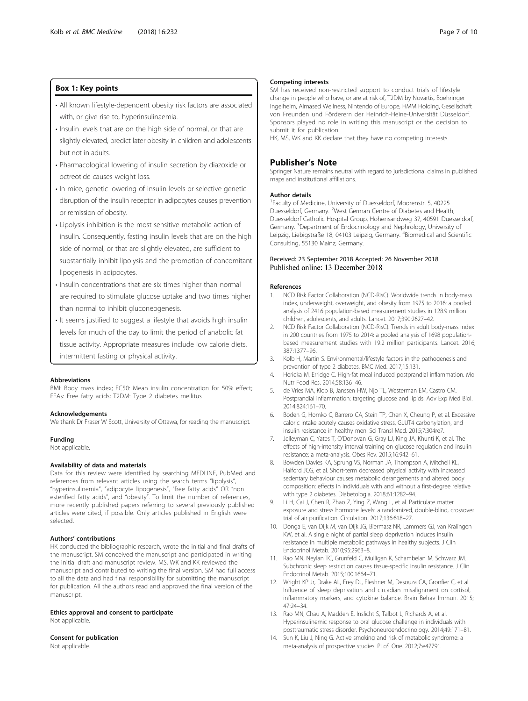- <span id="page-6-0"></span>• All known lifestyle-dependent obesity risk factors are associated with, or give rise to, hyperinsulinaemia.
- Insulin levels that are on the high side of normal, or that are slightly elevated, predict later obesity in children and adolescents but not in adults.
- Pharmacological lowering of insulin secretion by diazoxide or octreotide causes weight loss.
- In mice, genetic lowering of insulin levels or selective genetic disruption of the insulin receptor in adipocytes causes prevention or remission of obesity.
- Lipolysis inhibition is the most sensitive metabolic action of insulin. Consequently, fasting insulin levels that are on the high side of normal, or that are slightly elevated, are sufficient to substantially inhibit lipolysis and the promotion of concomitant lipogenesis in adipocytes.
- Insulin concentrations that are six times higher than normal are required to stimulate glucose uptake and two times higher than normal to inhibit gluconeogenesis.
- It seems justified to suggest a lifestyle that avoids high insulin levels for much of the day to limit the period of anabolic fat tissue activity. Appropriate measures include low calorie diets, intermittent fasting or physical activity.

### Abbreviations

BMI: Body mass index; EC50: Mean insulin concentration for 50% effect; FFAs: Free fatty acids; T2DM: Type 2 diabetes mellitus

#### Acknowledgements

We thank Dr Fraser W Scott, University of Ottawa, for reading the manuscript.

## Funding

Not applicable.

### Availability of data and materials

Data for this review were identified by searching MEDLINE, PubMed and references from relevant articles using the search terms "lipolysis", "hyperinsulinemia", "adipocyte lipogenesis", "free fatty acids" OR "non esterified fatty acids", and "obesity". To limit the number of references, more recently published papers referring to several previously published articles were cited, if possible. Only articles published in English were selected.

## Authors' contributions

HK conducted the bibliographic research, wrote the initial and final drafts of the manuscript. SM conceived the manuscript and participated in writing the initial draft and manuscript review. MS, WK and KK reviewed the manuscript and contributed to writing the final version. SM had full access to all the data and had final responsibility for submitting the manuscript for publication. All the authors read and approved the final version of the manuscript.

## Ethics approval and consent to participate

Not applicable.

## Consent for publication

Not applicable.

## Competing interests

SM has received non-restricted support to conduct trials of lifestyle change in people who have, or are at risk of, T2DM by Novartis, Boehringer Ingelheim, Almased Wellness, Nintendo of Europe, HMM Holding, Gesellschaft von Freunden und Förderern der Heinrich-Heine-Universität Düsseldorf. Sponsors played no role in writing this manuscript or the decision to submit it for publication.

HK, MS, WK and KK declare that they have no competing interests.

## Publisher's Note

Springer Nature remains neutral with regard to jurisdictional claims in published maps and institutional affiliations.

### Author details

<sup>1</sup> Faculty of Medicine, University of Duesseldorf, Moorenstr. 5, 40225 Duesseldorf, Germany. <sup>2</sup>West German Centre of Diabetes and Health, Duesseldorf Catholic Hospital Group, Hohensandweg 37, 40591 Duesseldorf, Germany. <sup>3</sup>Department of Endocrinology and Nephrology, University of Leipzig, Liebigstraße 18, 04103 Leipzig, Germany. <sup>4</sup>Biomedical and Scientific Consulting, 55130 Mainz, Germany.

## Received: 23 September 2018 Accepted: 26 November 2018

#### References

- 1. NCD Risk Factor Collaboration (NCD-RisC). Worldwide trends in body-mass index, underweight, overweight, and obesity from 1975 to 2016: a pooled analysis of 2416 population-based measurement studies in 128.9 million children, adolescents, and adults. Lancet. 2017;390:2627–42.
- 2. NCD Risk Factor Collaboration (NCD-RisC). Trends in adult body-mass index in 200 countries from 1975 to 2014: a pooled analysis of 1698 populationbased measurement studies with 19.2 million participants. Lancet. 2016; 387:1377–96.
- 3. Kolb H, Martin S. Environmental/lifestyle factors in the pathogenesis and prevention of type 2 diabetes. BMC Med. 2017;15:131.
- 4. Herieka M, Erridge C. High-fat meal induced postprandial inflammation. Mol Nutr Food Res. 2014;58:136–46.
- 5. de Vries MA, Klop B, Janssen HW, Njo TL, Westerman EM, Castro CM. Postprandial inflammation: targeting glucose and lipids. Adv Exp Med Biol. 2014;824:161–70.
- 6. Boden G, Homko C, Barrero CA, Stein TP, Chen X, Cheung P, et al. Excessive caloric intake acutely causes oxidative stress, GLUT4 carbonylation, and insulin resistance in healthy men. Sci Transl Med. 2015;7:304re7.
- 7. Jelleyman C, Yates T, O'Donovan G, Gray LJ, King JA, Khunti K, et al. The effects of high-intensity interval training on glucose regulation and insulin resistance: a meta-analysis. Obes Rev. 2015;16:942–61.
- 8. Bowden Davies KA, Sprung VS, Norman JA, Thompson A, Mitchell KL, Halford JCG, et al. Short-term decreased physical activity with increased sedentary behaviour causes metabolic derangements and altered body composition: effects in individuals with and without a first-degree relative with type 2 diabetes. Diabetologia. 2018;61:1282–94.
- 9. Li H, Cai J, Chen R, Zhao Z, Ying Z, Wang L, et al. Particulate matter exposure and stress hormone levels: a randomized, double-blind, crossover trial of air purification. Circulation. 2017;136:618–27.
- 10. Donga E, van Dijk M, van Dijk JG, Biermasz NR, Lammers GJ, van Kralingen KW, et al. A single night of partial sleep deprivation induces insulin resistance in multiple metabolic pathways in healthy subjects. J Clin Endocrinol Metab. 2010;95:2963–8.
- 11. Rao MN, Neylan TC, Grunfeld C, Mulligan K, Schambelan M, Schwarz JM. Subchronic sleep restriction causes tissue-specific insulin resistance. J Clin Endocrinol Metab. 2015;100:1664–71.
- 12. Wright KP Jr, Drake AL, Frey DJ, Fleshner M, Desouza CA, Gronfier C, et al. Influence of sleep deprivation and circadian misalignment on cortisol, inflammatory markers, and cytokine balance. Brain Behav Immun. 2015; 47:24–34.
- 13. Rao MN, Chau A, Madden E, Inslicht S, Talbot L, Richards A, et al. Hyperinsulinemic response to oral glucose challenge in individuals with posttraumatic stress disorder. Psychoneuroendocrinology. 2014;49:171–81.
- 14. Sun K, Liu J, Ning G. Active smoking and risk of metabolic syndrome: a meta-analysis of prospective studies. PLoS One. 2012;7:e47791.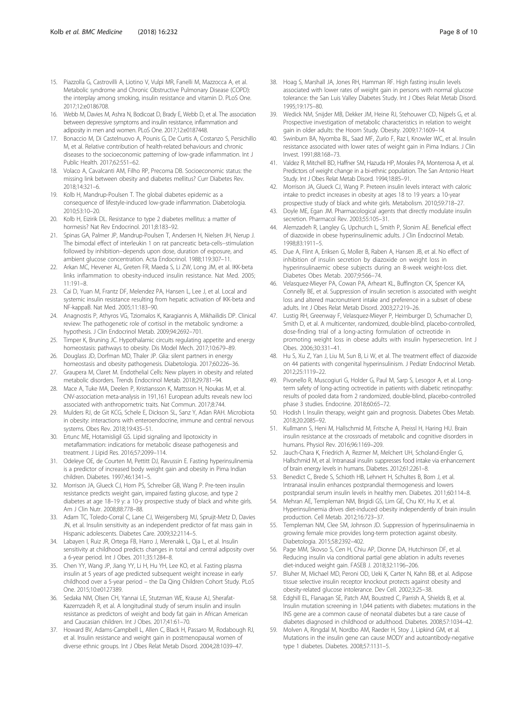- <span id="page-7-0"></span>15. Piazzolla G, Castrovilli A, Liotino V, Vulpi MR, Fanelli M, Mazzocca A, et al. Metabolic syndrome and Chronic Obstructive Pulmonary Disease (COPD): the interplay among smoking, insulin resistance and vitamin D. PLoS One. 2017;12:e0186708.
- 16. Webb M, Davies M, Ashra N, Bodicoat D, Brady E, Webb D, et al. The association between depressive symptoms and insulin resistance, inflammation and adiposity in men and women. PLoS One. 2017;12:e0187448.
- 17. Bonaccio M, Di Castelnuovo A, Pounis G, De Curtis A, Costanzo S, Persichillo M, et al. Relative contribution of health-related behaviours and chronic diseases to the socioeconomic patterning of low-grade inflammation. Int J Public Health. 2017;62:551–62.
- 18. Volaco A, Cavalcanti AM, Filho RP, Precoma DB. Socioeconomic status: the missing link between obesity and diabetes mellitus? Curr Diabetes Rev. 2018;14:321–6.
- 19. Kolb H, Mandrup-Poulsen T. The global diabetes epidemic as a consequence of lifestyle-induced low-grade inflammation. Diabetologia. 2010;53:10–20.
- 20. Kolb H, Eizirik DL. Resistance to type 2 diabetes mellitus: a matter of hormesis? Nat Rev Endocrinol. 2011;8:183–92.
- 21. Spinas GA, Palmer JP, Mandrup-Poulsen T, Andersen H, Nielsen JH, Nerup J. The bimodal effect of interleukin 1 on rat pancreatic beta-cells--stimulation followed by inhibition--depends upon dose, duration of exposure, and ambient glucose concentration. Acta Endocrinol. 1988;119:307–11.
- 22. Arkan MC, Hevener AL, Greten FR, Maeda S, Li ZW, Long JM, et al. IKK-beta links inflammation to obesity-induced insulin resistance. Nat Med. 2005; 11:191–8.
- 23. Cai D, Yuan M, Frantz DF, Melendez PA, Hansen L, Lee J, et al. Local and systemic insulin resistance resulting from hepatic activation of IKK-beta and NF-kappaB. Nat Med. 2005;11:183–90.
- 24. Anagnostis P, Athyros VG, Tziomalos K, Karagiannis A, Mikhailidis DP. Clinical review: The pathogenetic role of cortisol in the metabolic syndrome: a hypothesis. J Clin Endocrinol Metab. 2009;94:2692–701.
- 25. Timper K, Bruning JC. Hypothalamic circuits regulating appetite and energy homeostasis: pathways to obesity. Dis Model Mech. 2017;10:679–89.
- 26. Douglass JD, Dorfman MD, Thaler JP. Glia: silent partners in energy homeostasis and obesity pathogenesis. Diabetologia. 2017;60:226–36.
- 27. Graupera M, Claret M. Endothelial Cells: New players in obesity and related metabolic disorders. Trends Endocrinol Metab. 2018;29:781–94.
- 28. Mace A, Tuke MA, Deelen P, Kristiansson K, Mattsson H, Noukas M, et al. CNV-association meta-analysis in 191,161 European adults reveals new loci associated with anthropometric traits. Nat Commun. 2017;8:744.
- 29. Mulders RJ, de Git KCG, Schele E, Dickson SL, Sanz Y, Adan RAH. Microbiota in obesity: interactions with enteroendocrine, immune and central nervous systems. Obes Rev. 2018;19:435–51.
- 30. Ertunc ME, Hotamisligil GS. Lipid signaling and lipotoxicity in metaflammation: indications for metabolic disease pathogenesis and treatment. J Lipid Res. 2016;57:2099–114.
- 31. Odeleye OE, de Courten M, Pettitt DJ, Ravussin E. Fasting hyperinsulinemia is a predictor of increased body weight gain and obesity in Pima Indian children. Diabetes. 1997;46:1341–5.
- 32. Morrison JA, Glueck CJ, Horn PS, Schreiber GB, Wang P. Pre-teen insulin resistance predicts weight gain, impaired fasting glucose, and type 2 diabetes at age 18–19 y: a 10-y prospective study of black and white girls. Am J Clin Nutr. 2008;88:778–88.
- 33. Adam TC, Toledo-Corral C, Lane CJ, Weigensberg MJ, Spruijt-Metz D, Davies JN, et al. Insulin sensitivity as an independent predictor of fat mass gain in Hispanic adolescents. Diabetes Care. 2009;32:2114–5.
- 34. Labayen I, Ruiz JR, Ortega FB, Harro J, Merenakk L, Oja L, et al. Insulin sensitivity at childhood predicts changes in total and central adiposity over a 6-year period. Int J Obes. 2011;35:1284–8.
- 35. Chen YY, Wang JP, Jiang YY, Li H, Hu YH, Lee KO, et al. Fasting plasma insulin at 5 years of age predicted subsequent weight increase in early childhood over a 5-year period – the Da Qing Children Cohort Study. PLoS One. 2015;10:e0127389.
- 36. Sedaka NM, Olsen CH, Yannai LE, Stutzman WE, Krause AJ, Sherafat-Kazemzadeh R, et al. A longitudinal study of serum insulin and insulin resistance as predictors of weight and body fat gain in African American and Caucasian children. Int J Obes. 2017;41:61–70.
- 37. Howard BV, Adams-Campbell L, Allen C, Black H, Passaro M, Rodabough RJ, et al. Insulin resistance and weight gain in postmenopausal women of diverse ethnic groups. Int J Obes Relat Metab Disord. 2004;28:1039–47.
- 38. Hoag S, Marshall JA, Jones RH, Hamman RF. High fasting insulin levels associated with lower rates of weight gain in persons with normal glucose tolerance: the San Luis Valley Diabetes Study. Int J Obes Relat Metab Disord. 1995;19:175–80.
- 39. Wedick NM, Snijder MB, Dekker JM, Heine RJ, Stehouwer CD, Nijpels G, et al. Prospective investigation of metabolic characteristics in relation to weight gain in older adults: the Hoorn Study. Obesity. 2009;17:1609–14.
- 40. Swinburn BA, Nyomba BL, Saad MF, Zurlo F, Raz I, Knowler WC, et al. Insulin resistance associated with lower rates of weight gain in Pima Indians. J Clin Invest. 1991;88:168–73.
- 41. Valdez R, Mitchell BD, Haffner SM, Hazuda HP, Morales PA, Monterrosa A, et al. Predictors of weight change in a bi-ethnic population. The San Antonio Heart Study. Int J Obes Relat Metab Disord. 1994;18:85–91.
- 42. Morrison JA, Glueck CJ, Wang P. Preteen insulin levels interact with caloric intake to predict increases in obesity at ages 18 to 19 years: a 10-year prospective study of black and white girls. Metabolism. 2010;59:718–27.
- 43. Doyle ME, Egan JM. Pharmacological agents that directly modulate insulin secretion. Pharmacol Rev. 2003;55:105–31.
- 44. Alemzadeh R, Langley G, Upchurch L, Smith P, Slonim AE. Beneficial effect of diazoxide in obese hyperinsulinemic adults. J Clin Endocrinol Metab. 1998;83:1911–5.
- 45. Due A, Flint A, Eriksen G, Moller B, Raben A, Hansen JB, et al. No effect of inhibition of insulin secretion by diazoxide on weight loss in hyperinsulinaemic obese subjects during an 8-week weight-loss diet. Diabetes Obes Metab. 2007;9:566–74.
- 46. Velasquez-Mieyer PA, Cowan PA, Arheart KL, Buffington CK, Spencer KA, Connelly BE, et al. Suppression of insulin secretion is associated with weight loss and altered macronutrient intake and preference in a subset of obese adults. Int J Obes Relat Metab Disord. 2003;27:219–26.
- 47. Lustig RH, Greenway F, Velasquez-Mieyer P, Heimburger D, Schumacher D, Smith D, et al. A multicenter, randomized, double-blind, placebo-controlled, dose-finding trial of a long-acting formulation of octreotide in promoting weight loss in obese adults with insulin hypersecretion. Int J Obes. 2006;30:331–41.
- 48. Hu S, Xu Z, Yan J, Liu M, Sun B, Li W, et al. The treatment effect of diazoxide on 44 patients with congenital hyperinsulinism. J Pediatr Endocrinol Metab. 2012;25:1119–22.
- 49. Pivonello R, Muscogiuri G, Holder G, Paul M, Sarp S, Lesogor A, et al. Longterm safety of long-acting octreotide in patients with diabetic retinopathy: results of pooled data from 2 randomized, double-blind, placebo-controlled phase 3 studies. Endocrine. 2018;60:65–72.
- 50. Hodish I. Insulin therapy, weight gain and prognosis. Diabetes Obes Metab. 2018;20:2085–92.
- 51. Kullmann S, Heni M, Hallschmid M, Fritsche A, Preissl H, Haring HU. Brain insulin resistance at the crossroads of metabolic and cognitive disorders in humans. Physiol Rev. 2016;96:1169–209.
- 52. Jauch-Chara K, Friedrich A, Rezmer M, Melchert UH, Scholand-Engler G, Hallschmid M, et al. Intranasal insulin suppresses food intake via enhancement of brain energy levels in humans. Diabetes. 2012;61:2261–8.
- 53. Benedict C, Brede S, Schioth HB, Lehnert H, Schultes B, Born J, et al. Intranasal insulin enhances postprandial thermogenesis and lowers postprandial serum insulin levels in healthy men. Diabetes. 2011;60:114–8.
- 54. Mehran AE, Templeman NM, Brigidi GS, Lim GE, Chu KY, Hu X, et al. Hyperinsulinemia drives diet-induced obesity independently of brain insulin production. Cell Metab. 2012;16:723–37.
- 55. Templeman NM, Clee SM, Johnson JD. Suppression of hyperinsulinaemia in growing female mice provides long-term protection against obesity. Diabetologia. 2015;58:2392–402.
- 56. Page MM, Skovso S, Cen H, Chiu AP, Dionne DA, Hutchinson DF, et al. Reducing insulin via conditional partial gene ablation in adults reverses diet-induced weight gain. FASEB J. 2018;32:1196–206.
- 57. Bluher M, Michael MD, Peroni OD, Ueki K, Carter N, Kahn BB, et al. Adipose tissue selective insulin receptor knockout protects against obesity and obesity-related glucose intolerance. Dev Cell. 2002;3:25–38.
- 58. Edghill EL, Flanagan SE, Patch AM, Boustred C, Parrish A, Shields B, et al. Insulin mutation screening in 1,044 patients with diabetes: mutations in the INS gene are a common cause of neonatal diabetes but a rare cause of diabetes diagnosed in childhood or adulthood. Diabetes. 2008;57:1034–42.
- 59. Molven A, Ringdal M, Nordbo AM, Raeder H, Stoy J, Lipkind GM, et al. Mutations in the insulin gene can cause MODY and autoantibody-negative type 1 diabetes. Diabetes. 2008;57:1131–5.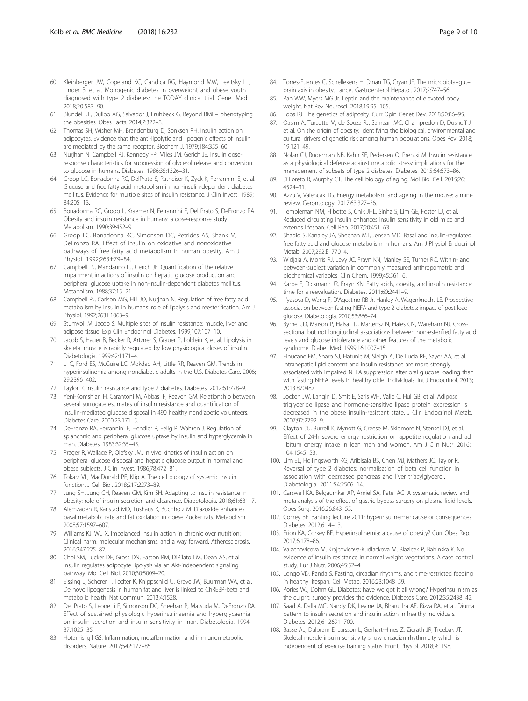- <span id="page-8-0"></span>60. Kleinberger JW, Copeland KC, Gandica RG, Haymond MW, Levitsky LL, Linder B, et al. Monogenic diabetes in overweight and obese youth diagnosed with type 2 diabetes: the TODAY clinical trial. Genet Med. 2018;20:583–90.
- 61. Blundell JE, Dulloo AG, Salvador J, Fruhbeck G. Beyond BMI phenotyping the obesities. Obes Facts. 2014;7:322–8.
- 62. Thomas SH, Wisher MH, Brandenburg D, Sonksen PH. Insulin action on adipocytes. Evidence that the anti-lipolytic and lipogenic effects of insulin are mediated by the same receptor. Biochem J. 1979;184:355–60.
- 63. Nurjhan N, Campbell PJ, Kennedy FP, Miles JM, Gerich JE. Insulin doseresponse characteristics for suppression of glycerol release and conversion to glucose in humans. Diabetes. 1986;35:1326–31.
- 64. Groop LC, Bonadonna RC, DelPrato S, Ratheiser K, Zyck K, Ferrannini E, et al. Glucose and free fatty acid metabolism in non-insulin-dependent diabetes mellitus. Evidence for multiple sites of insulin resistance. J Clin Invest. 1989; 84:205–13.
- 65. Bonadonna RC, Groop L, Kraemer N, Ferrannini E, Del Prato S, DeFronzo RA. Obesity and insulin resistance in humans: a dose-response study. Metabolism. 1990;39:452–9.
- 66. Groop LC, Bonadonna RC, Simonson DC, Petrides AS, Shank M, DeFronzo RA. Effect of insulin on oxidative and nonoxidative pathways of free fatty acid metabolism in human obesity. Am J Physiol. 1992;263:E79–84.
- 67. Campbell PJ, Mandarino LJ, Gerich JE. Quantification of the relative impairment in actions of insulin on hepatic glucose production and peripheral glucose uptake in non-insulin-dependent diabetes mellitus. Metabolism. 1988;37:15–21.
- 68. Campbell PJ, Carlson MG, Hill JO, Nurjhan N. Regulation of free fatty acid metabolism by insulin in humans: role of lipolysis and reesterification. Am J Physiol. 1992;263:E1063–9.
- 69. Stumvoll M, Jacob S. Multiple sites of insulin resistance: muscle, liver and adipose tissue. Exp Clin Endocrinol Diabetes. 1999;107:107–10.
- 70. Jacob S, Hauer B, Becker R, Artzner S, Grauer P, Loblein K, et al. Lipolysis in skeletal muscle is rapidly regulated by low physiological doses of insulin. Diabetologia. 1999;42:1171–4.
- 71. Li C, Ford ES, McGuire LC, Mokdad AH, Little RR, Reaven GM. Trends in hyperinsulinemia among nondiabetic adults in the U.S. Diabetes Care. 2006; 29:2396–402.
- 72. Taylor R. Insulin resistance and type 2 diabetes. Diabetes. 2012;61:778–9.
- 73. Yeni-Komshian H, Carantoni M, Abbasi F, Reaven GM. Relationship between several surrogate estimates of insulin resistance and quantification of insulin-mediated glucose disposal in 490 healthy nondiabetic volunteers. Diabetes Care. 2000;23:171–5.
- 74. DeFronzo RA, Ferrannini E, Hendler R, Felig P, Wahren J. Regulation of splanchnic and peripheral glucose uptake by insulin and hyperglycemia in man. Diabetes. 1983;32:35–45.
- 75. Prager R, Wallace P, Olefsky JM. In vivo kinetics of insulin action on peripheral glucose disposal and hepatic glucose output in normal and obese subjects. J Clin Invest. 1986;78:472–81.
- 76. Tokarz VL, MacDonald PE, Klip A. The cell biology of systemic insulin function. J Cell Biol. 2018;217:2273–89.
- 77. Jung SH, Jung CH, Reaven GM, Kim SH. Adapting to insulin resistance in obesity: role of insulin secretion and clearance. Diabetologia. 2018;61:681–7.
- 78. Alemzadeh R, Karlstad MD, Tushaus K, Buchholz M. Diazoxide enhances basal metabolic rate and fat oxidation in obese Zucker rats. Metabolism. 2008;57:1597–607.
- 79. Williams KJ, Wu X. Imbalanced insulin action in chronic over nutrition: Clinical harm, molecular mechanisms, and a way forward. Atherosclerosis. 2016;247:225–82.
- 80. Choi SM, Tucker DF, Gross DN, Easton RM, DiPilato LM, Dean AS, et al. Insulin regulates adipocyte lipolysis via an Akt-independent signaling pathway. Mol Cell Biol. 2010;30:5009–20.
- 81. Eissing L, Scherer T, Todter K, Knippschild U, Greve JW, Buurman WA, et al. De novo lipogenesis in human fat and liver is linked to ChREBP-beta and metabolic health. Nat Commun. 2013;4:1528.
- 82. Del Prato S, Leonetti F, Simonson DC, Sheehan P, Matsuda M, DeFronzo RA. Effect of sustained physiologic hyperinsulinaemia and hyperglycaemia on insulin secretion and insulin sensitivity in man. Diabetologia. 1994; 37:1025–35.
- 83. Hotamisligil GS. Inflammation, metaflammation and immunometabolic disorders. Nature. 2017;542:177–85.
- 84. Torres-Fuentes C, Schellekens H, Dinan TG, Cryan JF. The microbiota-gutbrain axis in obesity. Lancet Gastroenterol Hepatol. 2017;2:747–56.
- Pan WW, Myers MG Jr. Leptin and the maintenance of elevated body weight. Nat Rev Neurosci. 2018;19:95–105.
- 86. Loos RJ. The genetics of adiposity. Curr Opin Genet Dev. 2018;50:86–95.
- 87. Qasim A, Turcotte M, de Souza RJ, Samaan MC, Champredon D, Dushoff J, et al. On the origin of obesity: identifying the biological, environmental and cultural drivers of genetic risk among human populations. Obes Rev. 2018; 19:121–49.
- 88. Nolan CJ, Ruderman NB, Kahn SE, Pedersen O, Prentki M. Insulin resistance as a physiological defense against metabolic stress: implications for the management of subsets of type 2 diabetes. Diabetes. 2015;64:673–86.
- 89. DiLoreto R, Murphy CT. The cell biology of aging. Mol Biol Cell. 2015;26: 4524–31.
- 90. Azzu V, Valencak TG. Energy metabolism and ageing in the mouse: a minireview. Gerontology. 2017;63:327–36.
- 91. Templeman NM, Flibotte S, Chik JHL, Sinha S, Lim GE, Foster LJ, et al. Reduced circulating insulin enhances insulin sensitivity in old mice and extends lifespan. Cell Rep. 2017;20:451–63.
- 92. Shadid S, Kanaley JA, Sheehan MT, Jensen MD. Basal and insulin-regulated free fatty acid and glucose metabolism in humans. Am J Physiol Endocrinol Metab. 2007;292:E1770–4.
- 93. Widjaja A, Morris RJ, Levy JC, Frayn KN, Manley SE, Turner RC. Within- and between-subject variation in commonly measured anthropometric and biochemical variables. Clin Chem. 1999;45:561–6.
- 94. Karpe F, Dickmann JR, Frayn KN. Fatty acids, obesity, and insulin resistance: time for a reevaluation. Diabetes. 2011;60:2441–9.
- 95. Il'yasova D, Wang F, D'Agostino RB Jr, Hanley A, Wagenknecht LE. Prospective association between fasting NEFA and type 2 diabetes: impact of post-load glucose. Diabetologia. 2010;53:866–74.
- 96. Byrne CD, Maison P, Halsall D, Martensz N, Hales CN, Wareham NJ. Crosssectional but not longitudinal associations between non-esterified fatty acid levels and glucose intolerance and other features of the metabolic syndrome. Diabet Med. 1999;16:1007–15.
- 97. Finucane FM, Sharp SJ, Hatunic M, Sleigh A, De Lucia RE, Sayer AA, et al. Intrahepatic lipid content and insulin resistance are more strongly associated with impaired NEFA suppression after oral glucose loading than with fasting NEFA levels in healthy older individuals. Int J Endocrinol. 2013; 2013:870487.
- 98. Jocken JW, Langin D, Smit E, Saris WH, Valle C, Hul GB, et al. Adipose triglyceride lipase and hormone-sensitive lipase protein expression is decreased in the obese insulin-resistant state. J Clin Endocrinol Metab. 2007;92:2292–9.
- 99. Clayton DJ, Burrell K, Mynott G, Creese M, Skidmore N, Stensel DJ, et al. Effect of 24-h severe energy restriction on appetite regulation and ad libitum energy intake in lean men and women. Am J Clin Nutr. 2016; 104:1545–53.
- 100. Lim EL, Hollingsworth KG, Aribisala BS, Chen MJ, Mathers JC, Taylor R. Reversal of type 2 diabetes: normalisation of beta cell function in association with decreased pancreas and liver triacylglycerol. Diabetologia. 2011;54:2506–14.
- 101. Carswell KA, Belgaumkar AP, Amiel SA, Patel AG. A systematic review and meta-analysis of the effect of gastric bypass surgery on plasma lipid levels. Obes Surg. 2016;26:843–55.
- 102. Corkey BE. Banting lecture 2011: hyperinsulinemia: cause or consequence? Diabetes. 2012;61:4–13.
- 103. Erion KA, Corkey BE. Hyperinsulinemia: a cause of obesity? Curr Obes Rep. 2017;6:178–86.
- 104. Valachovicova M, Krajcovicova-Kudlackova M, Blazicek P, Babinska K. No evidence of insulin resistance in normal weight vegetarians. A case control study. Eur J Nutr. 2006;45:52–4.
- 105. Longo VD, Panda S. Fasting, circadian rhythms, and time-restricted feeding in healthy lifespan. Cell Metab. 2016;23:1048–59.
- 106. Pories WJ, Dohm GL. Diabetes: have we got it all wrong? Hyperinsulinism as the culprit: surgery provides the evidence. Diabetes Care. 2012;35:2438–42.
- 107. Saad A, Dalla MC, Nandy DK, Levine JA, Bharucha AE, Rizza RA, et al. Diurnal pattern to insulin secretion and insulin action in healthy individuals. Diabetes. 2012;61:2691–700.
- 108. Basse AL, Dalbram E, Larsson L, Gerhart-Hines Z, Zierath JR, Treebak JT. Skeletal muscle insulin sensitivity show circadian rhythmicity which is independent of exercise training status. Front Physiol. 2018;9:1198.